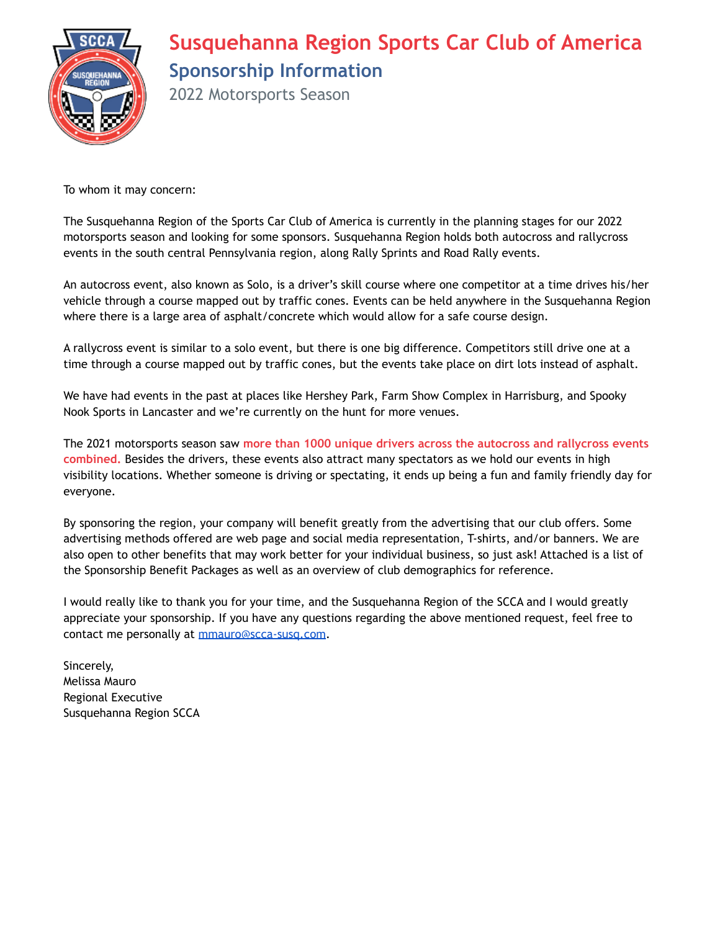

# **Susquehanna Region Sports Car Club of America Sponsorship Information**

2022 Motorsports Season

To whom it may concern:

The Susquehanna Region of the Sports Car Club of America is currently in the planning stages for our 2022 motorsports season and looking for some sponsors. Susquehanna Region holds both autocross and rallycross events in the south central Pennsylvania region, along Rally Sprints and Road Rally events.

An autocross event, also known as Solo, is a driver's skill course where one competitor at a time drives his/her vehicle through a course mapped out by traffic cones. Events can be held anywhere in the Susquehanna Region where there is a large area of asphalt/concrete which would allow for a safe course design.

A rallycross event is similar to a solo event, but there is one big difference. Competitors still drive one at a time through a course mapped out by traffic cones, but the events take place on dirt lots instead of asphalt.

We have had events in the past at places like Hershey Park, Farm Show Complex in Harrisburg, and Spooky Nook Sports in Lancaster and we're currently on the hunt for more venues.

The 2021 motorsports season saw **more than 1000 unique drivers across the autocross and rallycross events combined.** Besides the drivers, these events also attract many spectators as we hold our events in high visibility locations. Whether someone is driving or spectating, it ends up being a fun and family friendly day for everyone.

By sponsoring the region, your company will benefit greatly from the advertising that our club offers. Some advertising methods offered are web page and social media representation, T-shirts, and/or banners. We are also open to other benefits that may work better for your individual business, so just ask! Attached is a list of the Sponsorship Benefit Packages as well as an overview of club demographics for reference.

I would really like to thank you for your time, and the Susquehanna Region of the SCCA and I would greatly appreciate your sponsorship. If you have any questions regarding the above mentioned request, feel free to contact me personally at [mmauro@scca-susq.com](mailto:mmauro@scca-susq.com).

Sincerely, Melissa Mauro Regional Executive Susquehanna Region SCCA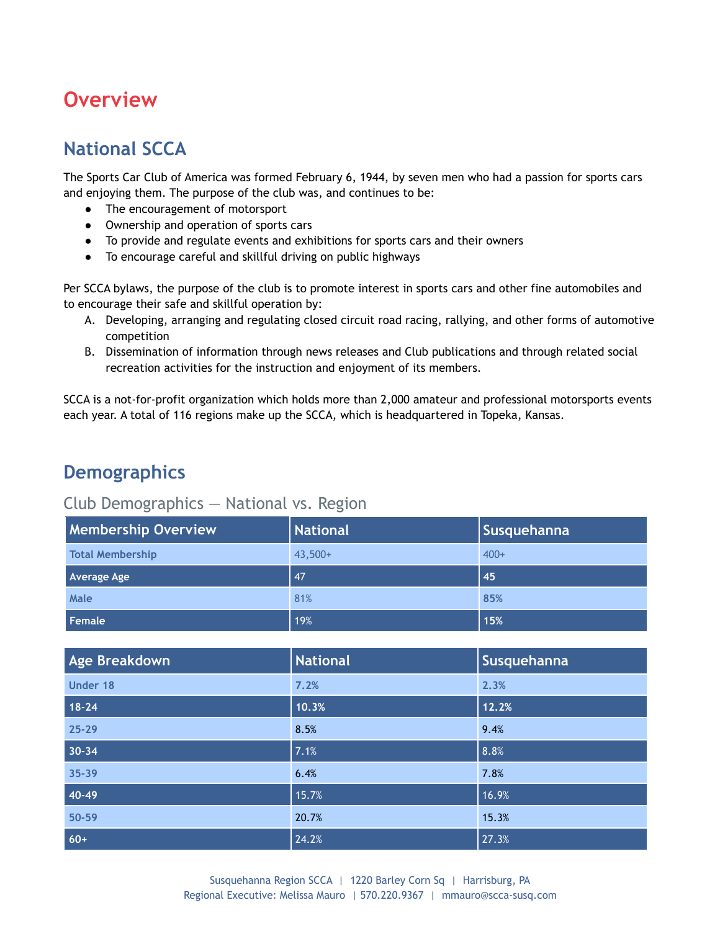## **Overview**

### **National SCCA**

The Sports Car Club of America was formed February 6, 1944, by seven men who had a passion for sports cars and enjoying them. The purpose of the club was, and continues to be:

- The encouragement of motorsport
- Ownership and operation of sports cars
- To provide and regulate events and exhibitions for sports cars and their owners
- To encourage careful and skillful driving on public highways

Per SCCA bylaws, the purpose of the club is to promote interest in sports cars and other fine automobiles and to encourage their safe and skillful operation by:

- A. Developing, arranging and regulating closed circuit road racing, rallying, and other forms of automotive competition
- B. Dissemination of information through news releases and Club publications and through related social recreation activities for the instruction and enjoyment of its members.

SCCA is a not-for-profit organization which holds more than 2,000 amateur and professional motorsports events each year. A total of 116 regions make up the SCCA, which is headquartered in Topeka, Kansas.

### **Demographics**

#### Club Demographics — National vs. Region

| <b>Membership Overview</b> | National  | Susquehanna |
|----------------------------|-----------|-------------|
| <b>Total Membership</b>    | $43.500+$ | $400+$      |
| <b>Average Age</b>         | 47        | 45          |
| Male                       | 81%       | 85%         |
| Female                     | 19%       | 15%         |

| Age Breakdown | <b>National</b> | Susquehanna |
|---------------|-----------------|-------------|
| Under 18      | 7.2%            | 2.3%        |
| $18 - 24$     | 10.3%           | 12.2%       |
| $25 - 29$     | 8.5%            | 9.4%        |
| $30 - 34$     | 7.1%            | 8.8%        |
| 35-39         | 6.4%            | 7.8%        |
| 40-49         | 15.7%           | 16.9%       |
| 50-59         | 20.7%           | 15.3%       |
| $60+$         | 24.2%           | 27.3%       |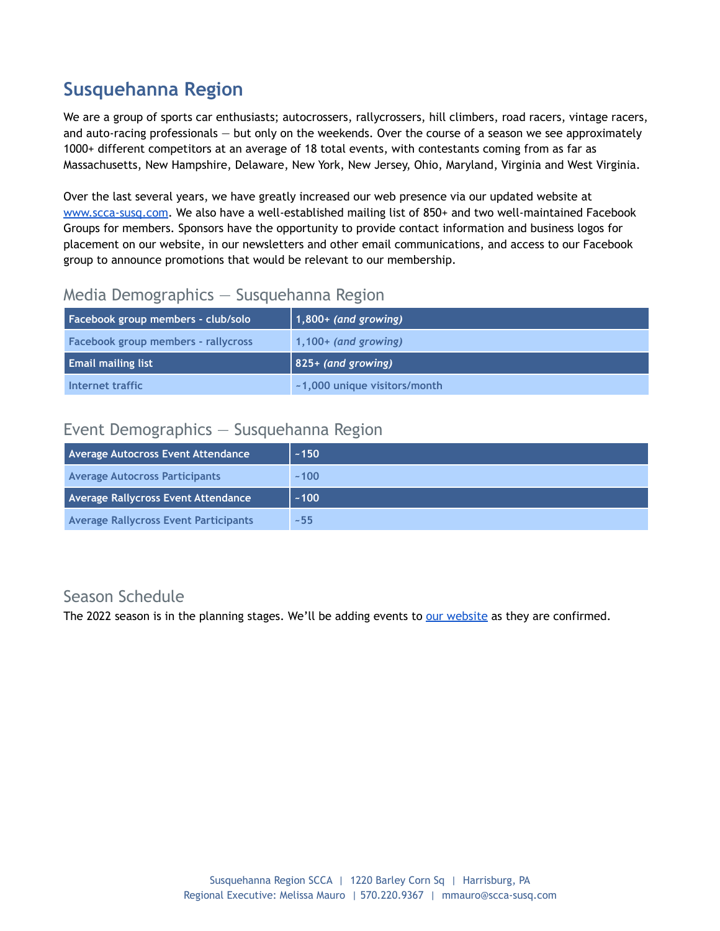### **Susquehanna Region**

We are a group of sports car enthusiasts; autocrossers, rallycrossers, hill climbers, road racers, vintage racers, and auto-racing professionals — but only on the weekends. Over the course of a season we see approximately 1000+ different competitors at an average of 18 total events, with contestants coming from as far as Massachusetts, New Hampshire, Delaware, New York, New Jersey, Ohio, Maryland, Virginia and West Virginia.

Over the last several years, we have greatly increased our web presence via our updated website at [www.scca-susq.com](http://www.scca-susq.com). We also have a well-established mailing list of 850+ and two well-maintained Facebook Groups for members. Sponsors have the opportunity to provide contact information and business logos for placement on our website, in our newsletters and other email communications, and access to our Facebook group to announce promotions that would be relevant to our membership.

#### Media Demographics — Susquehanna Region

| Facebook group members - club/solo         | $\vert$ 1,800+ (and growing) |
|--------------------------------------------|------------------------------|
| <b>Facebook group members - rallycross</b> | $1,100+$ (and growing)       |
|                                            |                              |
| <b>Email mailing list</b>                  | $\vert$ 825+ (and growing)   |

#### Event Demographics — Susquehanna Region

| Average Autocross Event Attendance    | ~150 |
|---------------------------------------|------|
| <b>Average Autocross Participants</b> | ~100 |
| Average Rallycross Event Attendance   | ~100 |
|                                       |      |

#### Season Schedule

The 2022 season is in the planning stages. We'll be adding events to our [website](http://www.scca-susq.com/about-susquehanna-scca/event-calendar/) as they are confirmed.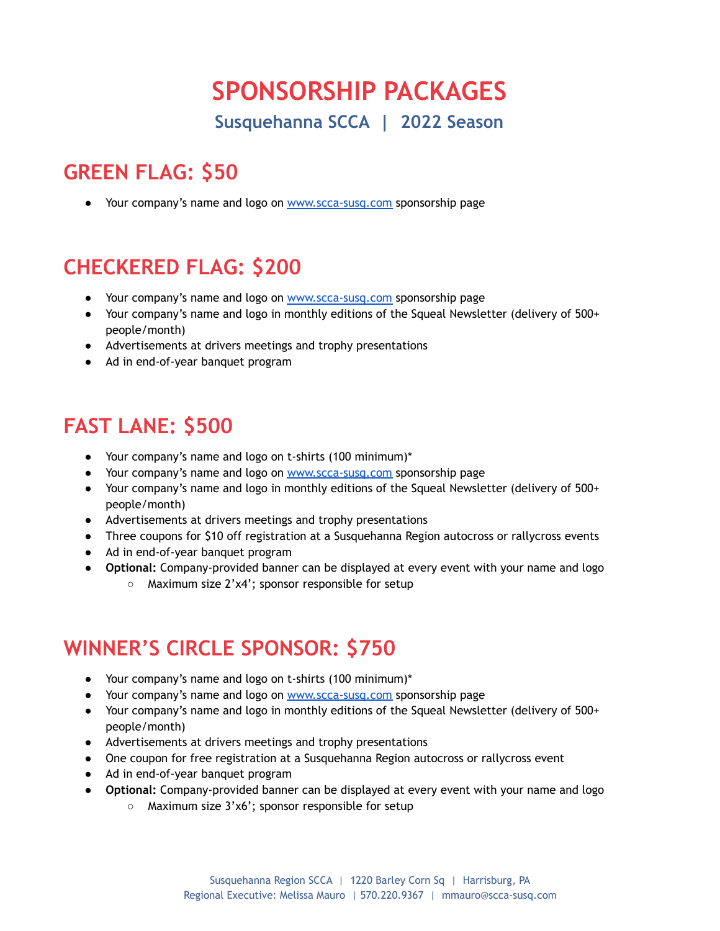# **SPONSORSHIP PACKAGES**

**Susquehanna SCCA | 2022 Season**

# **GREEN FLAG: \$50**

● Your company's name and logo on [www.scca-susq.com](http://www.scca-susq.com/) sponsorship page

# **CHECKERED FLAG: \$200**

- Your company's name and logo on [www.scca-susq.com](http://www.scca-susq.com/) sponsorship page
- Your company's name and logo in monthly editions of the Squeal Newsletter (delivery of 500+ people/month)
- Advertisements at drivers meetings and trophy presentations
- Ad in end-of-year banquet program

## **FAST LANE: \$500**

- Your company's name and logo on t-shirts (100 minimum)\*
- Your company's name and logo on [www.scca-susq.com](http://www.scca-susq.com/) sponsorship page
- Your company's name and logo in monthly editions of the Squeal Newsletter (delivery of 500+ people/month)
- Advertisements at drivers meetings and trophy presentations
- Three coupons for \$10 off registration at a Susquehanna Region autocross or rallycross events
- Ad in end-of-year banquet program
- **Optional:** Company-provided banner can be displayed at every event with your name and logo
	- Maximum size 2'x4'; sponsor responsible for setup

## **WINNER'S CIRCLE SPONSOR: \$750**

- Your company's name and logo on t-shirts (100 minimum)\*
- Your company's name and logo on www.scca-susg.com sponsorship page
- Your company's name and logo in monthly editions of the Squeal Newsletter (delivery of 500+ people/month)
- Advertisements at drivers meetings and trophy presentations
- One coupon for free registration at a Susquehanna Region autocross or rallycross event
- Ad in end-of-year banquet program
- **Optional:** Company-provided banner can be displayed at every event with your name and logo
	- Maximum size 3'x6'; sponsor responsible for setup